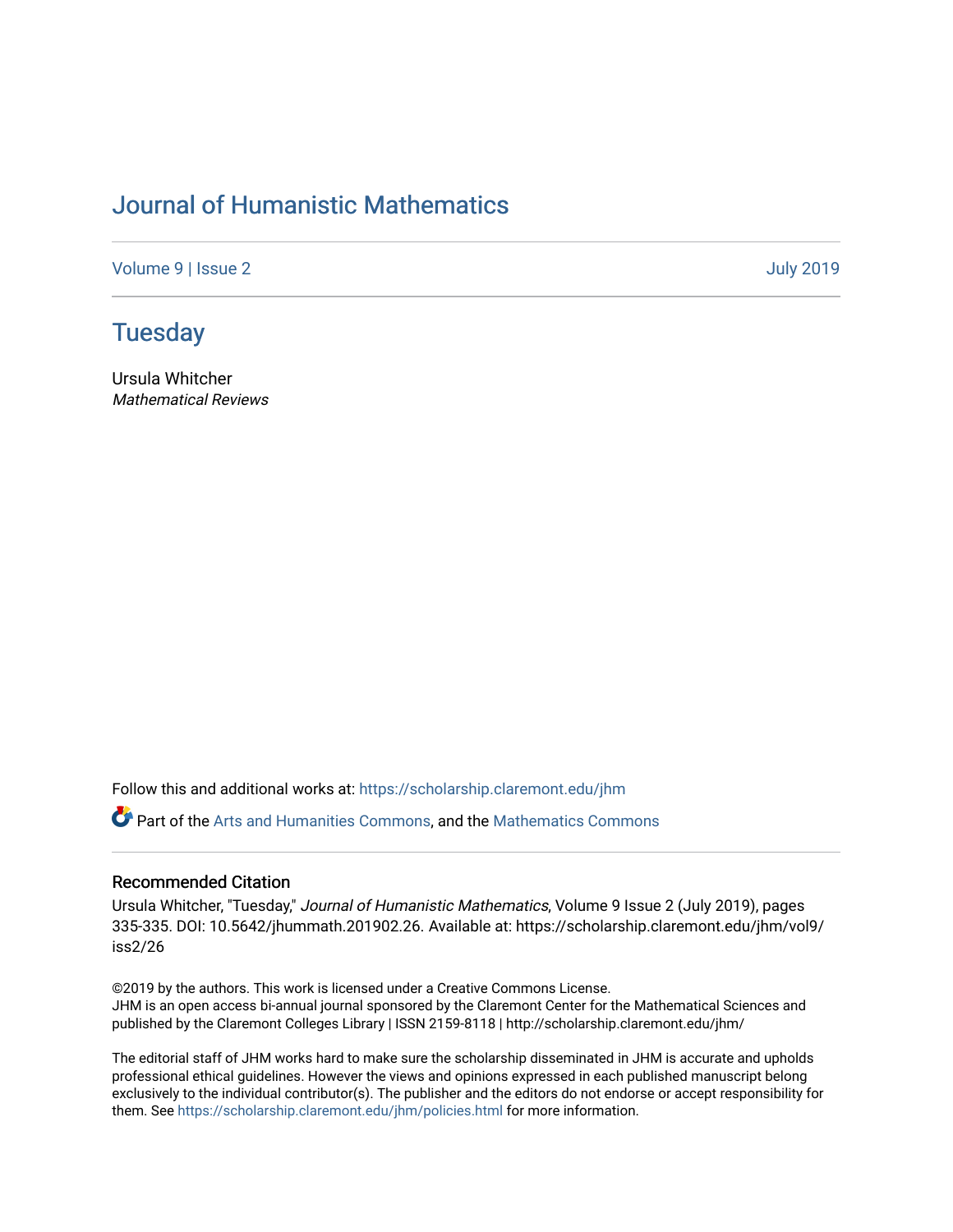## [Journal of Humanistic Mathematics](https://scholarship.claremont.edu/jhm)

[Volume 9](https://scholarship.claremont.edu/jhm/vol9) | [Issue 2](https://scholarship.claremont.edu/jhm/vol9/iss2) [July 2019](https://scholarship.claremont.edu/jhm/vol9/iss2) 

## **Tuesday**

Ursula Whitcher Mathematical Reviews

Follow this and additional works at: [https://scholarship.claremont.edu/jhm](https://scholarship.claremont.edu/jhm?utm_source=scholarship.claremont.edu%2Fjhm%2Fvol9%2Fiss2%2F26&utm_medium=PDF&utm_campaign=PDFCoverPages)

**P** Part of the [Arts and Humanities Commons,](http://network.bepress.com/hgg/discipline/438?utm_source=scholarship.claremont.edu%2Fjhm%2Fvol9%2Fiss2%2F26&utm_medium=PDF&utm_campaign=PDFCoverPages) and the Mathematics Commons

## Recommended Citation

Ursula Whitcher, "Tuesday," Journal of Humanistic Mathematics, Volume 9 Issue 2 (July 2019), pages 335-335. DOI: 10.5642/jhummath.201902.26. Available at: https://scholarship.claremont.edu/jhm/vol9/ iss2/26

©2019 by the authors. This work is licensed under a Creative Commons License. JHM is an open access bi-annual journal sponsored by the Claremont Center for the Mathematical Sciences and published by the Claremont Colleges Library | ISSN 2159-8118 | http://scholarship.claremont.edu/jhm/

The editorial staff of JHM works hard to make sure the scholarship disseminated in JHM is accurate and upholds professional ethical guidelines. However the views and opinions expressed in each published manuscript belong exclusively to the individual contributor(s). The publisher and the editors do not endorse or accept responsibility for them. See<https://scholarship.claremont.edu/jhm/policies.html> for more information.